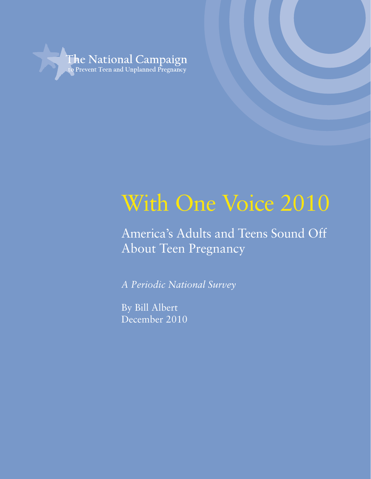

## With One Voice 2010

America's Adults and Teens Sound Off About Teen Pregnancy

*A Periodic National Survey*

By Bill Albert December 2010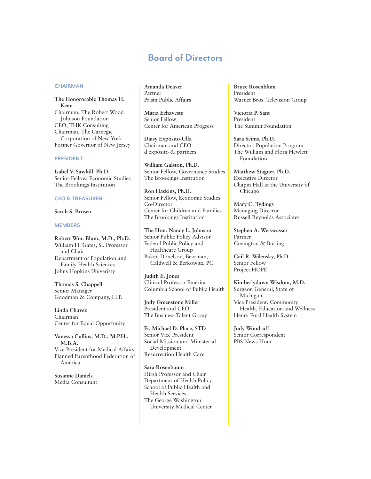## Board of Directors

#### **CHAIRMAN**

**The Honororable Thomas H. Kean** Chairman, The Robert Wood Johnson Foundation CEO, THK Consulting Chairman, The Carnegie Corporation of New York Former Governor of New Jersey

#### PRESIDENT

**Isabel V. Sawhill, Ph.D.** Senior Fellow, Economic Studies The Brookings Institution

#### CEO & TREASURER

#### **Sarah S. Brown**

#### **MEMBERS**

**Robert Wm. Blum, M.D., Ph.D.**  William H. Gates, Sr. Professor and Chair Department of Population and Family Health Sciences Johns Hopkins Univeristy

**Thomas S. Chappell** Senior Manager Goodman & Company, LLP.

**Linda Chavez** Chairman Center for Equal Opportunity

**Vanessa Cullins, M.D., M.P.H., M.B.A.** Vice President for Medical Affairs Planned Parenthood Federation of America

**Susanne Daniels** Media Consultant **Amanda Deaver** Partner Prism Public Affairs

**Maria Echaveste** Senior Fellow Center for American Progress

**Daisy Expósito-Ulla** Chairman and CEO d expósito & partners

**William Galston, Ph.D.** Senior Fellow, Governance Studies The Brookings Institution

**Ron Haskins, Ph.D.** Senior Fellow, Economic Studies Co-Director Center for Children and Families The Brookings Institution

**The Hon. Nancy L. Johnson** Senior Public Policy Advisor Federal Public Policy and Healthcare Group Baker, Donelson, Bearman, Caldwell & Berkowitz, PC

**Judith E. Jones** Clinical Professor Emerita Columbia School of Public Health

**Jody Greenstone Miller** President and CEO The Business Talent Group

**Fr. Michael D. Place, STD** Senior Vice President Social Mission and Ministerial Development Resurrection Health Care

#### **Sara Rosenbaum**

Hirsh Professor and Chair Department of Health Policy School of Public Health and Health Services The George Washington University Medical Center **Bruce Rosenblum** President Warner Bros. Television Group

**Victoria P. Sant** President The Summit Foundation

**Sara Seims, Ph.D.** Director, Population Program The William and Flora Hewlett Foundation

**Matthew Stagner, Ph.D.** Executive Director Chapin Hall at the University of Chicago

**Mary C. Tydings** Managing Director Russell Reynolds Associates

**Stephen A. Weiswasser** Partner Covington & Burling

**Gail R. Wilensky, Ph.D.** Senior Fellow Project HOPE

**Kimberlydawn Wisdom, M.D.** Surgeon General, State of Michigan Vice President, Community Health, Education and Wellness Henry Ford Health System

**Judy Woodruff** Senior Correspondent PBS News Hour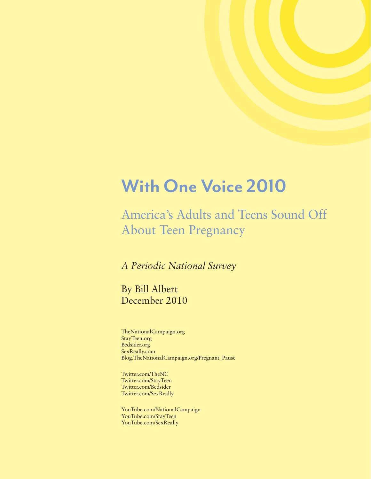## With One Voice 2010

America's Adults and Teens Sound Off About Teen Pregnancy

*A Periodic National Survey*

By Bill Albert December 2010

TheNationalCampaign.org StayTeen.org Bedsider.org SexReally.com Blog.TheNationalCampaign.org/Pregnant\_Pause

Twitter.com/TheNC Twitter.com/StayTeen Twitter.com/Bedsider Twitter.com/SexReally

YouTube.com/NationalCampaign YouTube.com/StayTeen YouTube.com/SexReally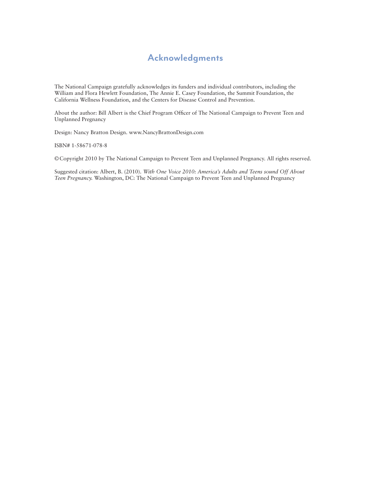## Acknowledgments

The National Campaign gratefully acknowledges its funders and individual contributors, including the William and Flora Hewlett Foundation, The Annie E. Casey Foundation, the Summit Foundation, the California Wellness Foundation, and the Centers for Disease Control and Prevention.

About the author: Bill Albert is the Chief Program Officer of The National Campaign to Prevent Teen and Unplanned Pregnancy

Design: Nancy Bratton Design. www.NancyBrattonDesign.com

ISBN# 1-58671-078-8

©Copyright 2010 by The National Campaign to Prevent Teen and Unplanned Pregnancy. All rights reserved.

Suggested citation: Albert, B. (2010). *With One Voice 2010: America's Adults and Teens sound Off About Teen Pregnancy.* Washington, DC: The National Campaign to Prevent Teen and Unplanned Pregnancy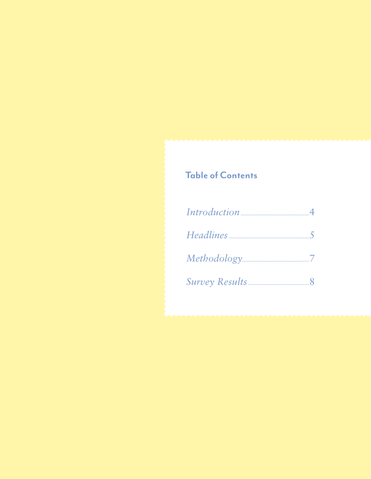## **Table of Contents**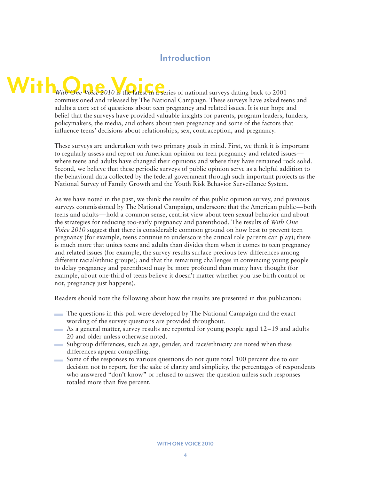## Introduction

# With One Voice 2010 is the latest in a series of national surveys dating back to 2001

commissioned and released by The National Campaign. These surveys have asked teens and adults a core set of questions about teen pregnancy and related issues. It is our hope and belief that the surveys have provided valuable insights for parents, program leaders, funders, policymakers, the media, and others about teen pregnancy and some of the factors that influence teens' decisions about relationships, sex, contraception, and pregnancy.

These surveys are undertaken with two primary goals in mind. First, we think it is important to regularly assess and report on American opinion on teen pregnancy and related issues where teens and adults have changed their opinions and where they have remained rock solid. Second, we believe that these periodic surveys of public opinion serve as a helpful addition to the behavioral data collected by the federal government through such important projects as the National Survey of Family Growth and the Youth Risk Behavior Surveillance System.

As we have noted in the past, we think the results of this public opinion survey, and previous surveys commissioned by The National Campaign, underscore that the American public—both teens and adults—hold a common sense, centrist view about teen sexual behavior and about the strategies for reducing too-early pregnancy and parenthood. The results of *With One Voice 2010* suggest that there is considerable common ground on how best to prevent teen pregnancy (for example, teens continue to underscore the critical role parents can play); there is much more that unites teens and adults than divides them when it comes to teen pregnancy and related issues (for example, the survey results surface precious few differences among different racial/ethnic groups); and that the remaining challenges in convincing young people to delay pregnancy and parenthood may be more profound than many have thought (for example, about one-third of teens believe it doesn't matter whether you use birth control or not, pregnancy just happens).

Readers should note the following about how the results are presented in this publication:

- The questions in this poll were developed by The National Campaign and the exact wording of the survey questions are provided throughout.
- As a general matter, survey results are reported for young people aged  $12-19$  and adults 20 and older unless otherwise noted.
- Subgroup differences, such as age, gender, and race/ethnicity are noted when these differences appear compelling.
- Some of the responses to various questions do not quite total 100 percent due to our decision not to report, for the sake of clarity and simplicity, the percentages of respondents who answered "don't know" or refused to answer the question unless such responses totaled more than five percent.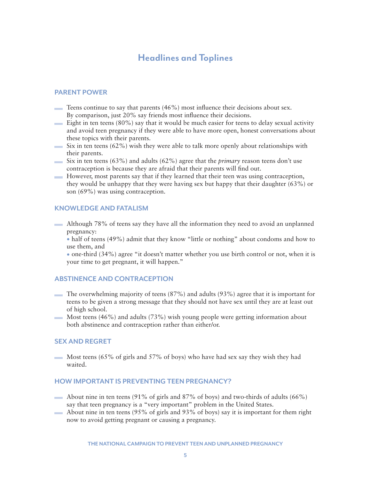## Headlines and Toplines

#### PARENT POWER

- Teens continue to say that parents  $(46\%)$  most influence their decisions about sex. By comparison, just 20% say friends most influence their decisions.
- Eight in ten teens  $(80\%)$  say that it would be much easier for teens to delay sexual activity and avoid teen pregnancy if they were able to have more open, honest conversations about these topics with their parents.
- $\sim$  Six in ten teens (62%) wish they were able to talk more openly about relationships with their parents.
- Six in ten teens (63%) and adults (62%) agree that the *primary* reason teens don't use contraception is because they are afraid that their parents will find out.
- However, most parents say that if they learned that their teen was using contraception, they would be unhappy that they were having sex but happy that their daughter (63%) or son (69%) was using contraception.

#### KNOWLEDGE AND FATALISM

Although 78% of teens say they have all the information they need to avoid an unplanned pregnancy:

• half of teens (49%) admit that they know "little or nothing" about condoms and how to use them, and

• one-third (34%) agree "it doesn't matter whether you use birth control or not, when it is your time to get pregnant, it will happen."

#### ABSTINENCE AND CONTRACEPTION

- The overwhelming majority of teens  $(87%)$  and adults  $(93%)$  agree that it is important for teens to be given a strong message that they should not have sex until they are at least out of high school.
- Most teens  $(46%)$  and adults  $(73%)$  wish young people were getting information about both abstinence and contraception rather than either/or.

#### SEX AND REGRET

Most teens  $(65\% \text{ of girls and } 57\% \text{ of boys})$  who have had sex say they wish they had waited.

#### HOW IMPORTANT IS PREVENTING TEEN PREGNANCY?

- About nine in ten teens  $(91\% \text{ of girls and } 87\% \text{ of boys})$  and two-thirds of adults  $(66\%)$ say that teen pregnancy is a "very important" problem in the United States.
- About nine in ten teens  $(95\% \text{ of girls and } 93\% \text{ of boys})$  say it is important for them right now to avoid getting pregnant or causing a pregnancy.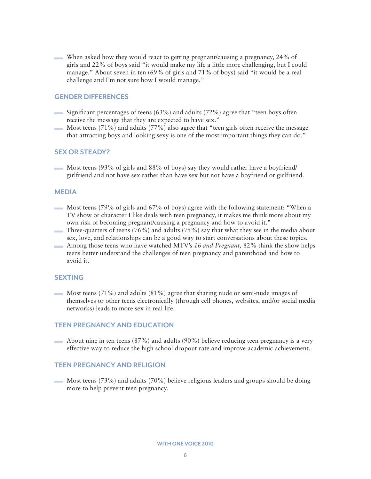When asked how they would react to getting pregnant/causing a pregnancy, 24% of girls and 22% of boys said "it would make my life a little more challenging, but I could manage." About seven in ten (69% of girls and 71% of boys) said "it would be a real challenge and I'm not sure how I would manage."

#### GENDER DIFFERENCES

- $\equiv$  Significant percentages of teens (63%) and adults (72%) agree that "teen boys often receive the message that they are expected to have sex."
- Most teens (71%) and adults (77%) also agree that "teen girls often receive the message **Contract** that attracting boys and looking sexy is one of the most important things they can do."

#### SEX OR STEADY?

Most teens (93% of girls and 88% of boys) say they would rather have a boyfriend/ girlfriend and not have sex rather than have sex but not have a boyfriend or girlfriend.

#### MEDIA

- Most teens (79% of girls and 67% of boys) agree with the following statement: "When a TV show or character I like deals with teen pregnancy, it makes me think more about my own risk of becoming pregnant/causing a pregnancy and how to avoid it."
- Three-quarters of teens  $(76\%)$  and adults  $(75\%)$  say that what they see in the media about sex, love, and relationships can be a good way to start conversations about these topics.
- Among those teens who have watched MTV's *16 and Pregnant,* 82% think the show helps teens better understand the challenges of teen pregnancy and parenthood and how to avoid it.

#### **SEXTING**

Most teens  $(71\%)$  and adults  $(81\%)$  agree that sharing nude or semi-nude images of themselves or other teens electronically (through cell phones, websites, and/or social media networks) leads to more sex in real life.

#### TEEN PREGNANCY AND EDUCATION

About nine in ten teens (87%) and adults (90%) believe reducing teen pregnancy is a very effective way to reduce the high school dropout rate and improve academic achievement.

#### TEEN PREGNANCY AND RELIGION

Most teens  $(73%)$  and adults  $(70%)$  believe religious leaders and groups should be doing more to help prevent teen pregnancy.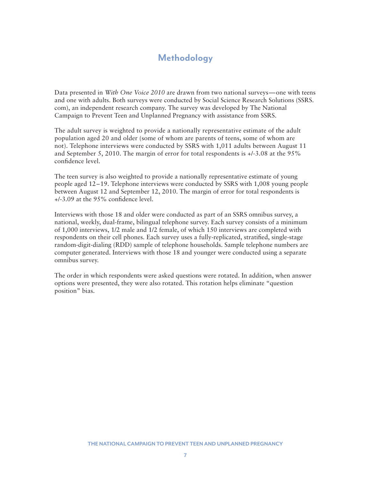## **Methodology**

Data presented in *With One Voice 2010* are drawn from two national surveys—one with teens and one with adults. Both surveys were conducted by Social Science Research Solutions (SSRS. com), an independent research company. The survey was developed by The National Campaign to Prevent Teen and Unplanned Pregnancy with assistance from SSRS.

The adult survey is weighted to provide a nationally representative estimate of the adult population aged 20 and older (some of whom are parents of teens, some of whom are not). Telephone interviews were conducted by SSRS with 1,011 adults between August 11 and September 5, 2010. The margin of error for total respondents is +/-3.08 at the 95% confidence level.

The teen survey is also weighted to provide a nationally representative estimate of young people aged 12–19. Telephone interviews were conducted by SSRS with 1,008 young people between August 12 and September 12, 2010. The margin of error for total respondents is +/-3.09 at the 95% confidence level.

Interviews with those 18 and older were conducted as part of an SSRS omnibus survey, a national, weekly, dual-frame, bilingual telephone survey. Each survey consists of a minimum of 1,000 interviews, 1/2 male and 1/2 female, of which 150 interviews are completed with respondents on their cell phones. Each survey uses a fully-replicated, stratified, single-stage random-digit-dialing (RDD) sample of telephone households. Sample telephone numbers are computer generated. Interviews with those 18 and younger were conducted using a separate omnibus survey.

The order in which respondents were asked questions were rotated. In addition, when answer options were presented, they were also rotated. This rotation helps eliminate "question position" bias.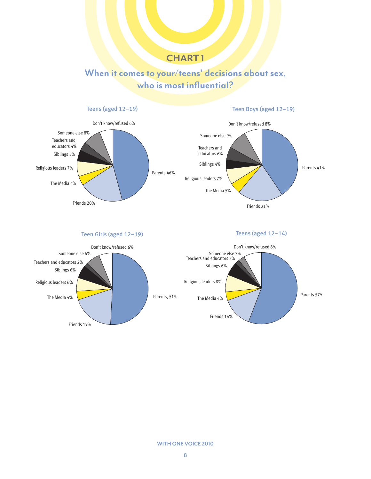## When it comes to your/teens' decisions about sex, who is most influential?



Parents 57%

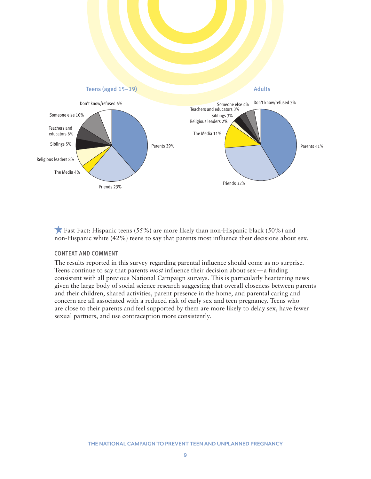

**Fast Fact:** Hispanic teens (55%) are more likely than non-Hispanic black (50%) and non-Hispanic white (42%) teens to say that parents most influence their decisions about sex.

#### CONTEXT AND COMMENT

The results reported in this survey regarding parental influence should come as no surprise. Teens continue to say that parents *most* influence their decision about sex—a finding consistent with all previous National Campaign surveys. This is particularly heartening news given the large body of social science research suggesting that overall closeness between parents and their children, shared activities, parent presence in the home, and parental caring and concern are all associated with a reduced risk of early sex and teen pregnancy. Teens who are close to their parents and feel supported by them are more likely to delay sex, have fewer sexual partners, and use contraception more consistently.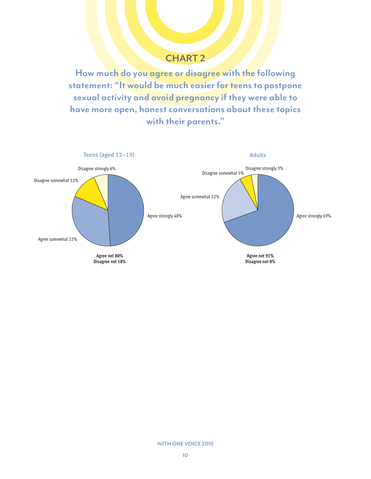How much do you agree or disagree with the following statement: "It would be much easier for teens to postpone sexual activity and avoid pregnancy if they were able to have more open, honest conversations about these topics with their parents."



#### WITH ONE VOICE 2010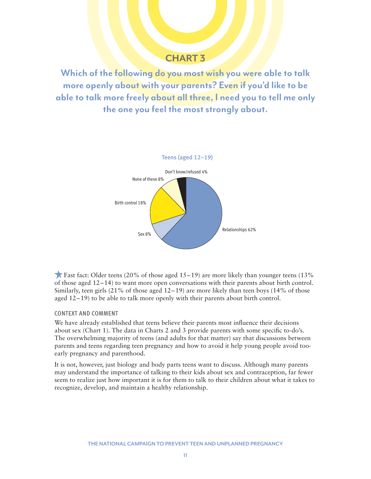Which of the following do you most wish you were able to talk more openly about with your parents? Even if you'd like to be able to talk more freely about all three, I need you to tell me only the one you feel the most strongly about.



Fast fact: Older teens (20% of those aged  $15-19$ ) are more likely than younger teens (13%) of those aged 12–14) to want more open conversations with their parents about birth control. Similarly, teen girls  $(21\% \text{ of those aged } 12-19)$  are more likely than teen boys  $(14\% \text{ of those$ aged  $12-19$ ) to be able to talk more openly with their parents about birth control.

#### CONTEXT AND COMMENT

We have already established that teens believe their parents most influence their decisions about sex (Chart 1). The data in Charts 2 and 3 provide parents with some specific to-do's. The overwhelming majority of teens (and adults for that matter) say that discussions between parents and teens regarding teen pregnancy and how to avoid it help young people avoid tooearly pregnancy and parenthood.

It is not, however, just biology and body parts teens want to discuss. Although many parents may understand the importance of talking to their kids about sex and contraception, far fewer seem to realize just how important it is for them to talk to their children about what it takes to recognize, develop, and maintain a healthy relationship.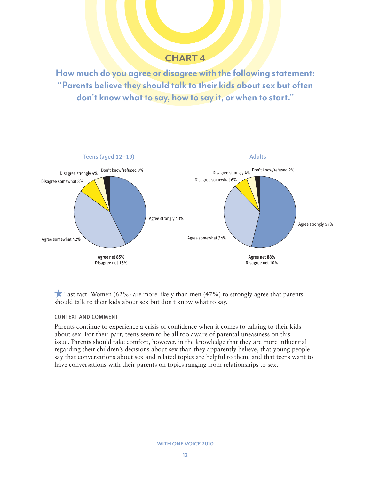How much do you agree or disagree with the following statement: "Parents believe they should talk to their kids about sex but often don't know what to say, how to say it, or when to start."



**Fast fact: Women (62%) are more likely than men (47%) to strongly agree that parents** should talk to their kids about sex but don't know what to say.

#### CONTEXT AND COMMENT

Parents continue to experience a crisis of confidence when it comes to talking to their kids about sex. For their part, teens seem to be all too aware of parental uneasiness on this issue. Parents should take comfort, however, in the knowledge that they are more influential regarding their children's decisions about sex than they apparently believe, that young people say that conversations about sex and related topics are helpful to them, and that teens want to have conversations with their parents on topics ranging from relationships to sex.

WITH ONE VOICE 2010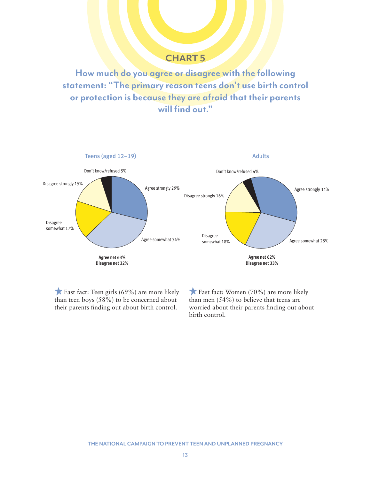How much do you agree or disagree with the following statement: "The primary reason teens don't use birth control or protection is because they are afraid that their parents will find out."



Fast fact: Teen girls (69%) are more likely than teen boys (58%) to be concerned about their parents finding out about birth control.

Fast fact: Women (70%) are more likely than men (54%) to believe that teens are worried about their parents finding out about birth control.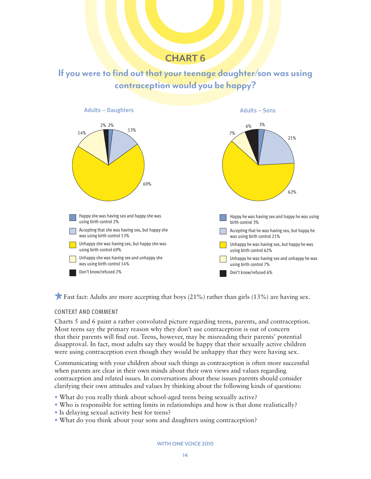If you were to find out that your teenage daughter/son was using contraception would you be happy?



**F** Fast fact: Adults are more accepting that boys  $(21\%)$  rather than girls  $(13\%)$  are having sex.

#### CONTEXT AND COMMENT

Charts 5 and 6 paint a rather convoluted picture regarding teens, parents, and contraception. Most teens say the primary reason why they don't use contraception is out of concern that their parents will find out. Teens, however, may be misreading their parents' potential disapproval. In fact, most adults say they would be happy that their sexually active children were using contraception even though they would be unhappy that they were having sex.

Communicating with your children about such things as contraception is often more successful when parents are clear in their own minds about their own views and values regarding contraception and related issues. In conversations about these issues parents should consider clarifying their own attitudes and values by thinking about the following kinds of questions:

- What do you really think about school-aged teens being sexually active?
- Who is responsible for setting limits in relationships and how is that done realistically?
- Is delaying sexual activity best for teens?
- What do you think about your sons and daughters using contraception?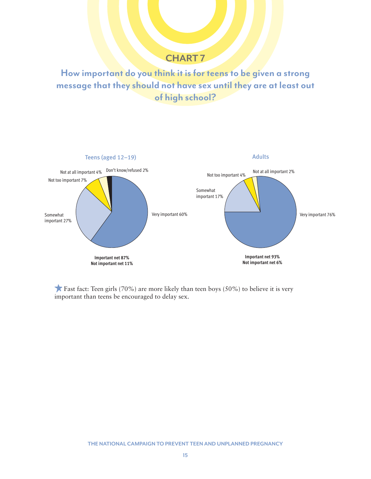How important do you think it is for teens to be given a strong message that they should not have sex until they are at least out of high school?



**Fast fact:** Teen girls (70%) are more likely than teen boys (50%) to believe it is very important than teens be encouraged to delay sex.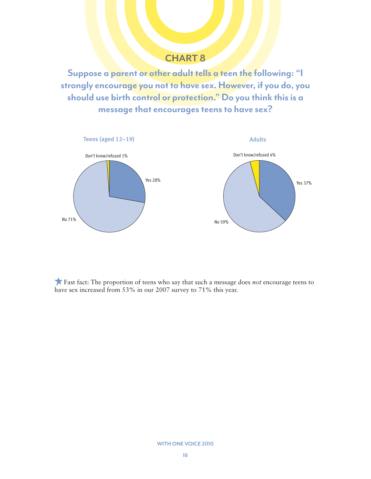Suppose a parent or other adult tells a teen the following: "I strongly encourage you not to have sex. However, if you do, you should use birth control or protection." Do you think this is a message that encourages teens to have sex?



 Fast fact: The proportion of teens who say that such a message does *not* encourage teens to have sex increased from 53% in our 2007 survey to 71% this year.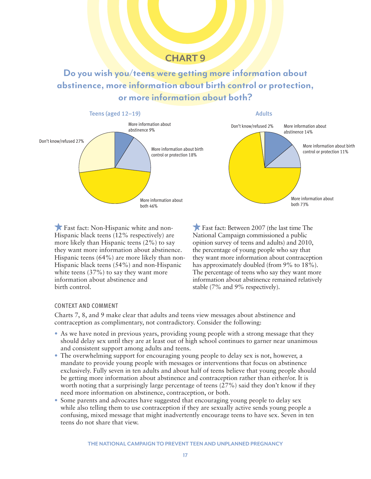Do you wish you/teens were getting more information about abstinence, more information about birth control or protection, or more information about both?



 Fast fact: Non-Hispanic white and non-Hispanic black teens (12% respectively) are more likely than Hispanic teens (2%) to say they want more information about abstinence. Hispanic teens (64%) are more likely than non-Hispanic black teens (54%) and non-Hispanic white teens (37%) to say they want more information about abstinence and birth control.

Fast fact: Between 2007 (the last time The National Campaign commissioned a public opinion survey of teens and adults) and 2010, the percentage of young people who say that they want more information about contraception has approximately doubled (from 9% to 18%). The percentage of teens who say they want more information about abstinence remained relatively stable (7% and 9% respectively).

#### CONTEXT AND COMMENT

Charts 7, 8, and 9 make clear that adults and teens view messages about abstinence and contraception as complimentary, not contradictory. Consider the following:

- As we have noted in previous years, providing young people with a strong message that they should delay sex until they are at least out of high school continues to garner near unanimous and consistent support among adults and teens.
- The overwhelming support for encouraging young people to delay sex is not, however, a mandate to provide young people with messages or interventions that focus on abstinence exclusively. Fully seven in ten adults and about half of teens believe that young people should be getting more information about abstinence and contraception rather than either/or. It is worth noting that a surprisingly large percentage of teens (27%) said they don't know if they need more information on abstinence, contraception, or both.
- Some parents and advocates have suggested that encouraging young people to delay sex while also telling them to use contraception if they are sexually active sends young people a confusing, mixed message that might inadvertently encourage teens to have sex. Seven in ten teens do not share that view.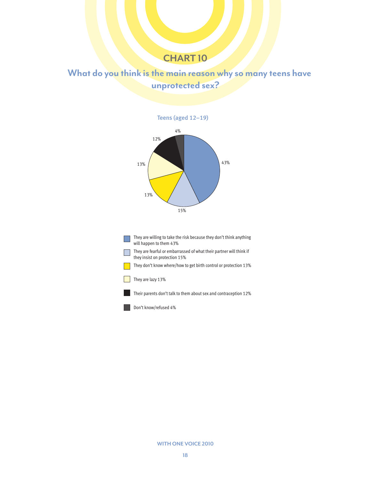## What do you think is the main reason why so many teens have unprotected sex?



They are willing to take the risk because they don't think anything will happen to them 43%

They are fearful or embarrassed of what their partner will think if **The State** they insist on protection 15%

They don't know where/how to get birth control or protection 13%

#### They are lazy 13%

**I** 

Their parents don't talk to them about sex and contraception 12%

Don't know/refused 4%

WITH ONE VOICE 2010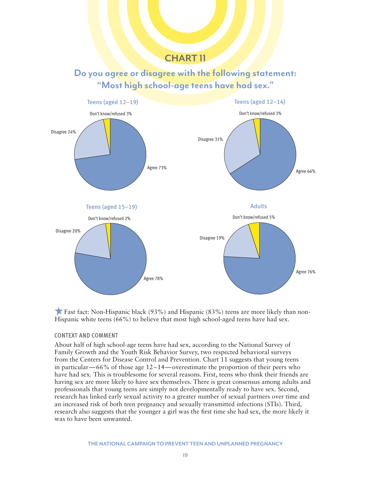## Do you agree or disagree with the following statement: "Most high school-age teens have had sex."



**Fast fact: Non-Hispanic black (93%) and Hispanic (83%) teens are more likely than non-**Hispanic white teens (66%) to believe that most high school-aged teens have had sex.

#### CONTEXT AND COMMENT

About half of high school-age teens have had sex, according to the National Survey of Family Growth and the Youth Risk Behavior Survey, two respected behavioral surveys from the Centers for Disease Control and Prevention. Chart 11 suggests that young teens in particular—66% of those age 12–14—overestimate the proportion of their peers who have had sex. This is troublesome for several reasons. First, teens who think their friends are having sex are more likely to have sex themselves. There is great consensus among adults and professionals that young teens are simply not developmentally ready to have sex. Second, research has linked early sexual activity to a greater number of sexual partners over time and an increased risk of both teen pregnancy and sexually transmitted infections (STIs). Third, research also suggests that the younger a girl was the first time she had sex, the more likely it was to have been unwanted.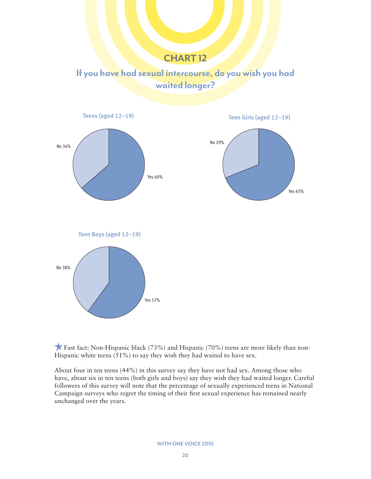If you have had sexual intercourse, do you wish you had waited longer?



**Fast fact:** Non-Hispanic black  $(73\%)$  and Hispanic  $(70\%)$  teens are more likely than non-Hispanic white teens (51%) to say they wish they had waited to have sex.

About four in ten teens (44%) in this survey say they have not had sex. Among those who have, about six in ten teens (both girls and boys) say they wish they had waited longer. Careful followers of this survey will note that the percentage of sexually experienced teens in National Campaign surveys who regret the timing of their first sexual experience has remained nearly unchanged over the years.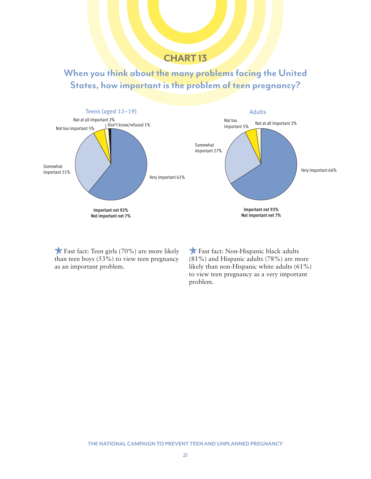When you think about the many problems facing the United States, how important is the problem of teen pregnancy?



Fast fact: Teen girls (70%) are more likely than teen boys (53%) to view teen pregnancy as an important problem.

Fast fact: Non-Hispanic black adults (81%) and Hispanic adults (78%) are more likely than non-Hispanic white adults (61%) to view teen pregnancy as a very important problem.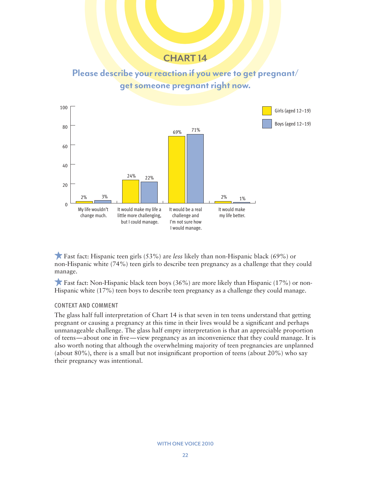



Fast fact: Hispanic teen girls (53%) are *less* likely than non-Hispanic black (69%) or non-Hispanic white (74%) teen girls to describe teen pregnancy as a challenge that they could manage.

**Fast fact:** Non-Hispanic black teen boys  $(36%)$  are more likely than Hispanic  $(17%)$  or non-Hispanic white (17%) teen boys to describe teen pregnancy as a challenge they could manage.

#### CONTEXT AND COMMENT

The glass half full interpretation of Chart 14 is that seven in ten teens understand that getting pregnant or causing a pregnancy at this time in their lives would be a significant and perhaps unmanageable challenge. The glass half empty interpretation is that an appreciable proportion of teens—about one in five—view pregnancy as an inconvenience that they could manage. It is also worth noting that although the overwhelming majority of teen pregnancies are unplanned (about 80%), there is a small but not insignificant proportion of teens (about 20%) who say their pregnancy was intentional.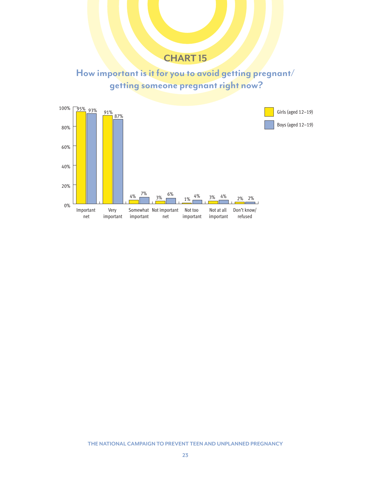## How important is it for you to avoid getting pregnant/ getting someone pregnant right now?

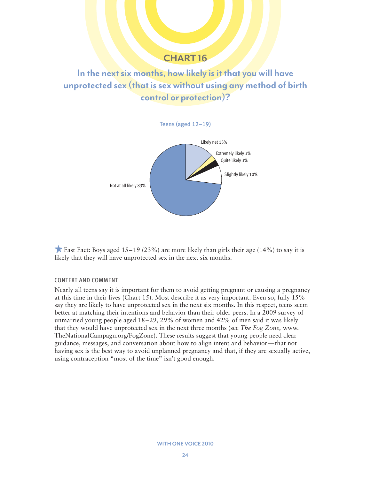## In the next six months, how likely is it that you will have unprotected sex (that is sex without using any method of birth control or protection)?



**Fast Fact:** Boys aged  $15-19$  (23%) are more likely than girls their age (14%) to say it is likely that they will have unprotected sex in the next six months.

#### CONTEXT AND COMMENT

Nearly all teens say it is important for them to avoid getting pregnant or causing a pregnancy at this time in their lives (Chart 15). Most describe it as very important. Even so, fully 15% say they are likely to have unprotected sex in the next six months. In this respect, teens seem better at matching their intentions and behavior than their older peers. In a 2009 survey of unmarried young people aged 18–29, 29% of women and 42% of men said it was likely that they would have unprotected sex in the next three months (see *The Fog Zone,* www. TheNationalCampagn.org/FogZone). These results suggest that young people need clear guidance, messages, and conversation about how to align intent and behavior—that not having sex is the best way to avoid unplanned pregnancy and that, if they are sexually active, using contraception "most of the time" isn't good enough.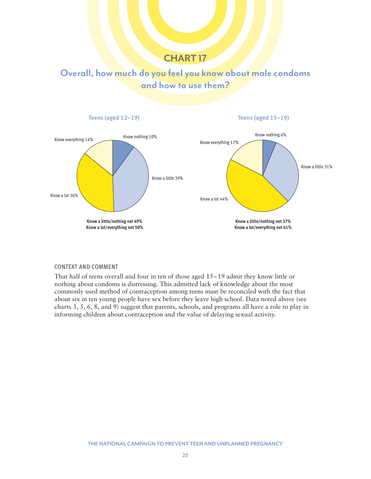## Overall, how much do you feel you know about male condoms and how to use them?



#### CONTEXT AND COMMENT

That half of teens overall and four in ten of those aged 15–19 admit they know little or nothing about condoms is distressing. This admitted lack of knowledge about the most commonly used method of contraception among teens must be reconciled with the fact that about six in ten young people have sex before they leave high school. Data noted above (see charts 3, 5, 6, 8, and 9) suggest that parents, schools, and programs all have a role to play in informing children about contraception and the value of delaying sexual activity.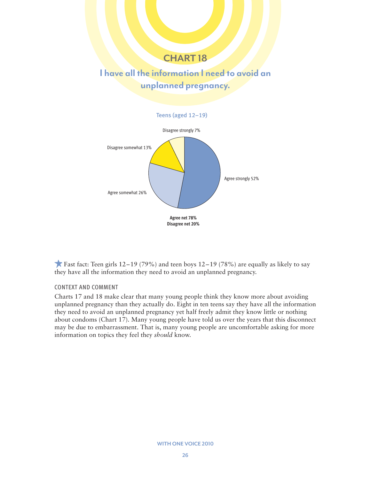## I have all the information I need to avoid an unplanned pregnancy.



Fast fact: Teen girls  $12-19$  (79%) and teen boys  $12-19$  (78%) are equally as likely to say they have all the information they need to avoid an unplanned pregnancy.

#### CONTEXT AND COMMENT

Charts 17 and 18 make clear that many young people think they know more about avoiding unplanned pregnancy than they actually do. Eight in ten teens say they have all the information they need to avoid an unplanned pregnancy yet half freely admit they know little or nothing about condoms (Chart 17). Many young people have told us over the years that this disconnect may be due to embarrassment. That is, many young people are uncomfortable asking for more information on topics they feel they *should* know.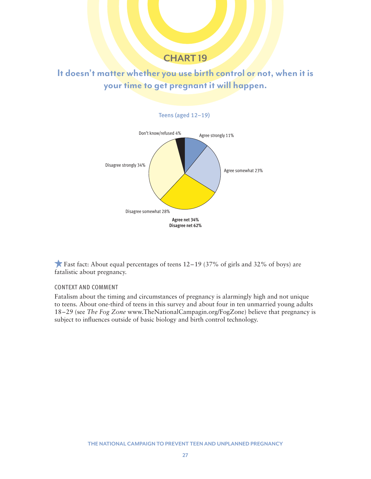It doesn't matter whether you use birth control or not, when it is your time to get pregnant it will happen.



Fast fact: About equal percentages of teens  $12-19$  (37% of girls and 32% of boys) are fatalistic about pregnancy.

#### CONTEXT AND COMMENT

Fatalism about the timing and circumstances of pregnancy is alarmingly high and not unique to teens. About one-third of teens in this survey and about four in ten unmarried young adults 18–29 (see *The Fog Zone* www.TheNationalCampagin.org/FogZone) believe that pregnancy is subject to influences outside of basic biology and birth control technology.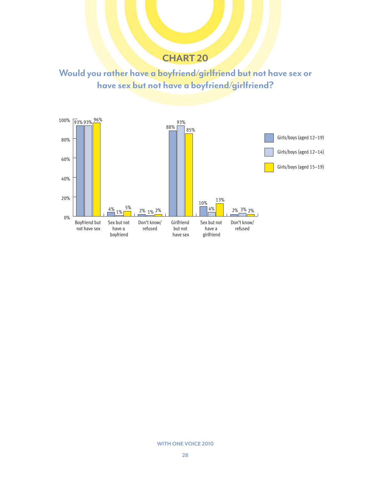Would you rather have a boyfriend/girlfriend but not have sex or have sex but not have a boyfriend/girlfriend?

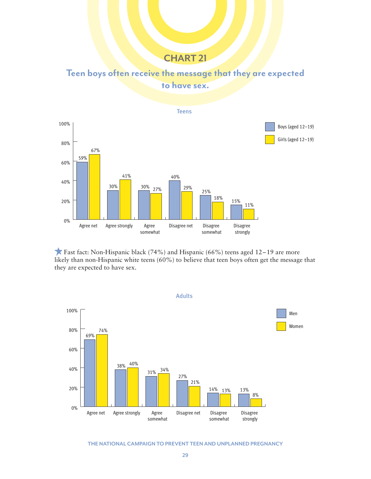Teen boys often receive the message that they are expected to have sex.



**Fast fact:** Non-Hispanic black (74%) and Hispanic (66%) teens aged  $12-19$  are more likely than non-Hispanic white teens (60%) to believe that teen boys often get the message that they are expected to have sex.



THE NATIONAL CAMPAIGN TO PREVENT TEEN AND UNPLANNED PREGNANCY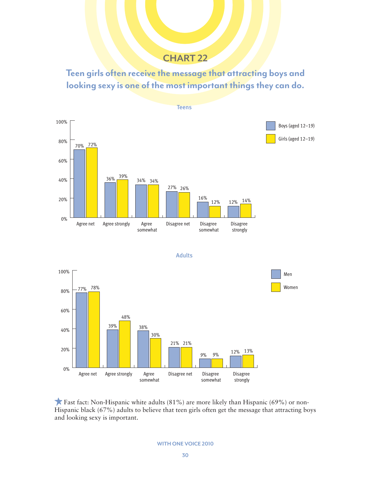Teen girls often receive the message that attracting boys and looking sexy is one of the most important things they can do.







**Fast fact:** Non-Hispanic white adults  $(81\%)$  are more likely than Hispanic  $(69\%)$  or non-Hispanic black (67%) adults to believe that teen girls often get the message that attracting boys and looking sexy is important.

WITH ONE VOICE 2010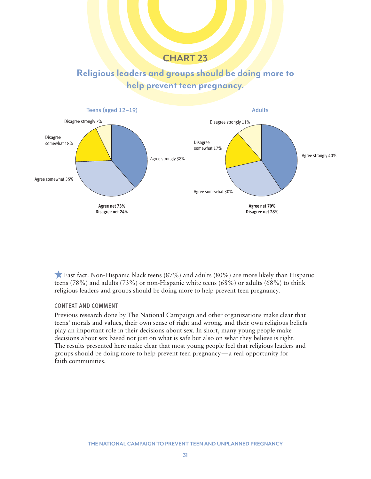## Religious leaders and groups should be doing more to help prevent teen pregnancy.



 Fast fact: Non-Hispanic black teens (87%) and adults (80%) are more likely than Hispanic teens (78%) and adults (73%) or non-Hispanic white teens (68%) or adults (68%) to think religious leaders and groups should be doing more to help prevent teen pregnancy.

#### CONTEXT AND COMMENT

Previous research done by The National Campaign and other organizations make clear that teens' morals and values, their own sense of right and wrong, and their own religious beliefs play an important role in their decisions about sex. In short, many young people make decisions about sex based not just on what is safe but also on what they believe is right. The results presented here make clear that most young people feel that religious leaders and groups should be doing more to help prevent teen pregnancy—a real opportunity for faith communities.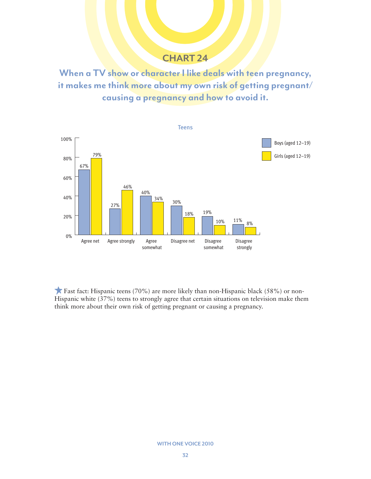When a TV show or character I like deals with teen pregnancy, it makes me think more about my own risk of getting pregnant/ causing a pregnancy and how to avoid it.



**Fast fact:** Hispanic teens (70%) are more likely than non-Hispanic black (58%) or non-Hispanic white (37%) teens to strongly agree that certain situations on television make them think more about their own risk of getting pregnant or causing a pregnancy.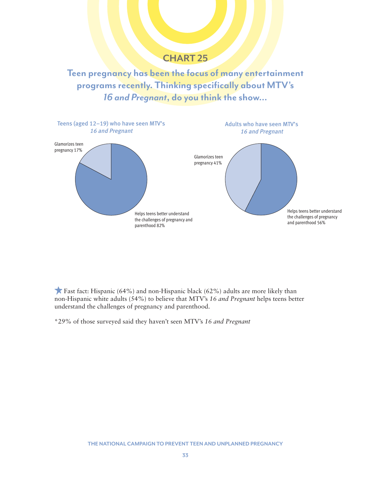Teen pregnancy has been the focus of many entertainment programs recently. Thinking specifically about MTV's 16 and Pregnant, do you think the show…



**Fast fact:** Hispanic (64%) and non-Hispanic black (62%) adults are more likely than non-Hispanic white adults (54%) to believe that MTV's *16 and Pregnant* helps teens better understand the challenges of pregnancy and parenthood.

\*29% of those surveyed said they haven't seen MTV's *16 and Pregnant*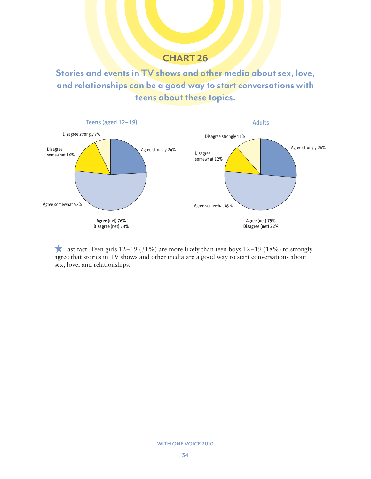Stories and events in TV shows and other media about sex, love, and relationships can be a good way to start conversations with teens about these topics.



**Fast fact:** Teen girls  $12-19$  (31%) are more likely than teen boys  $12-19$  (18%) to strongly agree that stories in TV shows and other media are a good way to start conversations about sex, love, and relationships.

#### WITH ONE VOICE 2010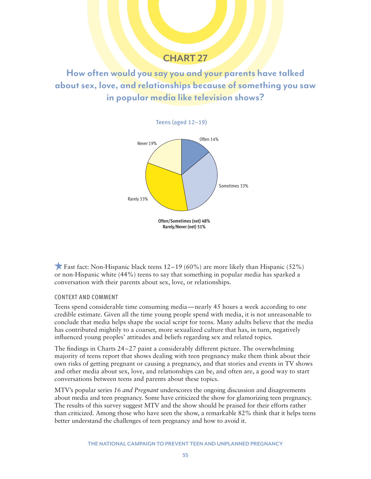How often would you say you and your parents have talked about sex, love, and relationships because of something you saw in popular media like television shows?





**Fast fact: Non-Hispanic black teens 12–19 (60%) are more likely than Hispanic (52%)** or non-Hispanic white (44%) teens to say that something in popular media has sparked a conversation with their parents about sex, love, or relationships.

#### CONTEXT AND COMMENT

Teens spend considerable time consuming media—nearly 45 hours a week according to one credible estimate. Given all the time young people spend with media, it is not unreasonable to conclude that media helps shape the social script for teens. Many adults believe that the media has contributed mightily to a coarser, more sexualized culture that has, in turn, negatively influenced young peoples' attitudes and beliefs regarding sex and related topics.

The findings in Charts 24–27 paint a considerably different picture. The overwhelming majority of teens report that shows dealing with teen pregnancy make them think about their own risks of getting pregnant or causing a pregnancy, and that stories and events in TV shows and other media about sex, love, and relationships can be, and often are, a good way to start conversations between teens and parents about these topics.

MTV's popular series *16 and Pregnant* underscores the ongoing discussion and disagreements about media and teen pregnancy. Some have criticized the show for glamorizing teen pregnancy. The results of this survey suggest MTV and the show should be praised for their efforts rather than criticized. Among those who have seen the show, a remarkable 82% think that it helps teens better understand the challenges of teen pregnancy and how to avoid it.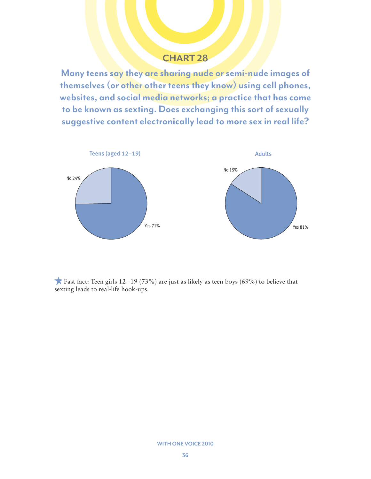Many teens say they are sharing nude or semi-nude images of themselves (or other other teens they know) using cell phones, websites, and social media networks; a practice that has come to be known as sexting. Does exchanging this sort of sexually suggestive content electronically lead to more sex in real life?



**Fast fact:** Teen girls  $12-19$  (73%) are just as likely as teen boys (69%) to believe that sexting leads to real-life hook-ups.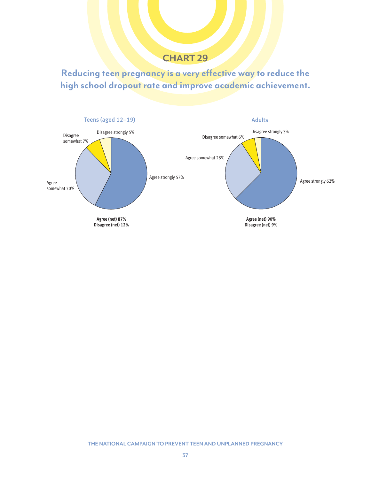Reducing teen pregnancy is a very effective way to reduce the high school dropout rate and improve academic achievement.

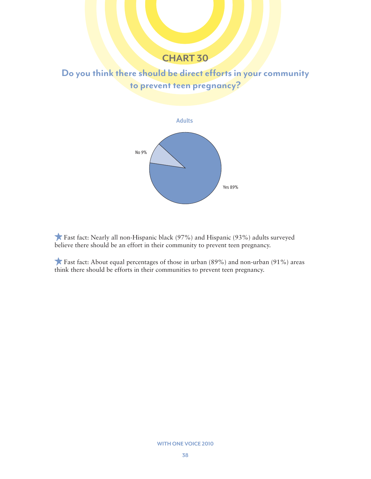## Do you think there should be direct efforts in your community to prevent teen pregnancy?



 Fast fact: Nearly all non-Hispanic black (97%) and Hispanic (93%) adults surveyed believe there should be an effort in their community to prevent teen pregnancy.

 Fast fact: About equal percentages of those in urban (89%) and non-urban (91%) areas think there should be efforts in their communities to prevent teen pregnancy.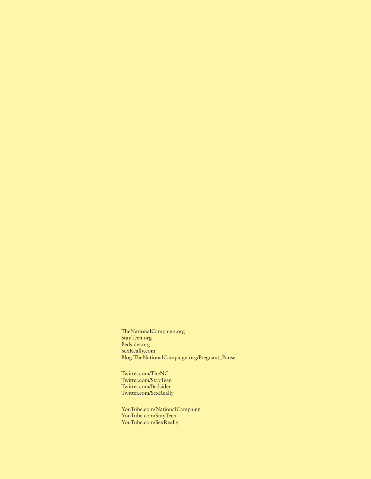TheNationalCampaign.org StayTeen.org Bedsider.org SexReally.com Blog.TheNationalCampaign.org/Pregnant\_Pause

Twitter.com/TheNC Twitter.com/StayTeen Twitter.com/Bedsider Twitter.com/SexReally

YouTube.com/NationalCampaign YouTube.com/StayTeen YouTube.com/SexReally